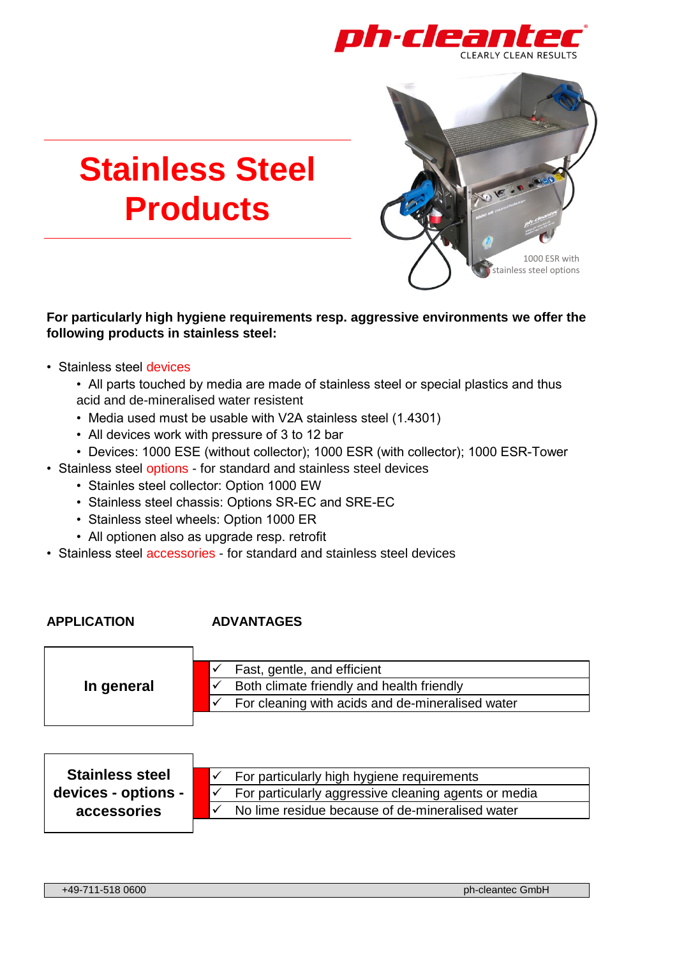

# **Stainless Steel Products**



#### **For particularly high hygiene requirements resp. aggressive environments we offer the following products in stainless steel:**

- Stainless steel devices
	- All parts touched by media are made of stainless steel or special plastics and thus acid and de-mineralised water resistent
	- Media used must be usable with V2A stainless steel (1.4301)
	- All devices work with pressure of 3 to 12 bar
	- Devices: 1000 ESE (without collector); 1000 ESR (with collector); 1000 ESR-Tower
- Stainless steel options for standard and stainless steel devices
	- Stainles steel collector: Option 1000 EW
	- Stainless steel chassis: Options SR-EC and SRE-EC
	- Stainless steel wheels: Option 1000 ER
	- All optionen also as upgrade resp. retrofit
- Stainless steel accessories for standard and stainless steel devices

#### **APPLICATION ADVANTAGES**

| In general | Fast, gentle, and efficient                      |
|------------|--------------------------------------------------|
|            | Both climate friendly and health friendly        |
|            | For cleaning with acids and de-mineralised water |
|            |                                                  |

| <b>Stainless steel</b> | For particularly high hygiene requirements           |
|------------------------|------------------------------------------------------|
| devices - options -    | For particularly aggressive cleaning agents or media |
| accessories            | No lime residue because of de-mineralised water      |
|                        |                                                      |

+49-711-518 0600 ph-cleantec GmbH